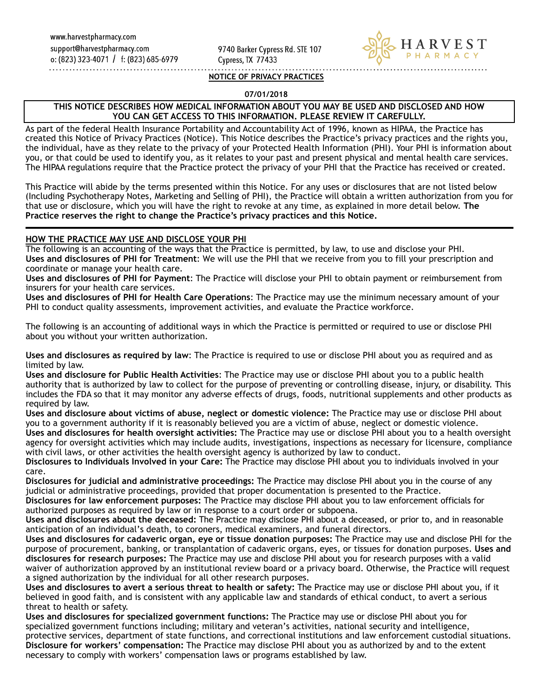9740 Barker Cypress Rd. STE 107 Cypress, TX 77433



#### **NOTICE OF PRIVACY PRACTICES**

#### **07/01/2018**

### **THIS NOTICE DESCRIBES HOW MEDICAL INFORMATION ABOUT YOU MAY BE USED AND DISCLOSED AND HOW YOU CAN GET ACCESS TO THIS INFORMATION. PLEASE REVIEW IT CAREFULLY.**

As part of the federal Health Insurance Portability and Accountability Act of 1996, known as HIPAA, the Practice has created this Notice of Privacy Practices (Notice). This Notice describes the Practice's privacy practices and the rights you, the individual, have as they relate to the privacy of your Protected Health Information (PHI). Your PHI is information about you, or that could be used to identify you, as it relates to your past and present physical and mental health care services. The HIPAA regulations require that the Practice protect the privacy of your PHI that the Practice has received or created.

This Practice will abide by the terms presented within this Notice. For any uses or disclosures that are not listed below (Including Psychotherapy Notes, Marketing and Selling of PHI), the Practice will obtain a written authorization from you for that use or disclosure, which you will have the right to revoke at any time, as explained in more detail below. **The Practice reserves the right to change the Practice's privacy practices and this Notice.**

#### **HOW THE PRACTICE MAY USE AND DISCLOSE YOUR PHI**

The following is an accounting of the ways that the Practice is permitted, by law, to use and disclose your PHI. **Uses and disclosures of PHI for Treatment**: We will use the PHI that we receive from you to fill your prescription and coordinate or manage your health care.

**Uses and disclosures of PHI for Payment**: The Practice will disclose your PHI to obtain payment or reimbursement from insurers for your health care services.

**Uses and disclosures of PHI for Health Care Operations**: The Practice may use the minimum necessary amount of your PHI to conduct quality assessments, improvement activities, and evaluate the Practice workforce.

The following is an accounting of additional ways in which the Practice is permitted or required to use or disclose PHI about you without your written authorization.

**Uses and disclosures as required by law**: The Practice is required to use or disclose PHI about you as required and as limited by law.

**Uses and disclosure for Public Health Activities**: The Practice may use or disclose PHI about you to a public health authority that is authorized by law to collect for the purpose of preventing or controlling disease, injury, or disability. This includes the FDA so that it may monitor any adverse effects of drugs, foods, nutritional supplements and other products as required by law.

**Uses and disclosure about victims of abuse, neglect or domestic violence:** The Practice may use or disclose PHI about you to a government authority if it is reasonably believed you are a victim of abuse, neglect or domestic violence. **Uses and disclosures for health oversight activities:** The Practice may use or disclose PHI about you to a health oversight

agency for oversight activities which may include audits, investigations, inspections as necessary for licensure, compliance with civil laws, or other activities the health oversight agency is authorized by law to conduct.

**Disclosures to Individuals Involved in your Care:** The Practice may disclose PHI about you to individuals involved in your care.

**Disclosures for judicial and administrative proceedings:** The Practice may disclose PHI about you in the course of any judicial or administrative proceedings, provided that proper documentation is presented to the Practice.

**Disclosures for law enforcement purposes:** The Practice may disclose PHI about you to law enforcement officials for authorized purposes as required by law or in response to a court order or subpoena.

**Uses and disclosures about the deceased:** The Practice may disclose PHI about a deceased, or prior to, and in reasonable anticipation of an individual's death, to coroners, medical examiners, and funeral directors.

**Uses and disclosures for cadaveric organ, eye or tissue donation purposes:** The Practice may use and disclose PHI for the purpose of procurement, banking, or transplantation of cadaveric organs, eyes, or tissues for donation purposes. **Uses and disclosures for research purposes:** The Practice may use and disclose PHI about you for research purposes with a valid waiver of authorization approved by an institutional review board or a privacy board. Otherwise, the Practice will request a signed authorization by the individual for all other research purposes.

**Uses and disclosures to avert a serious threat to health or safety:** The Practice may use or disclose PHI about you, if it believed in good faith, and is consistent with any applicable law and standards of ethical conduct, to avert a serious threat to health or safety.

**Uses and disclosures for specialized government functions:** The Practice may use or disclose PHI about you for specialized government functions including; military and veteran's activities, national security and intelligence, protective services, department of state functions, and correctional institutions and law enforcement custodial situations. **Disclosure for workers' compensation:** The Practice may disclose PHI about you as authorized by and to the extent necessary to comply with workers' compensation laws or programs established by law.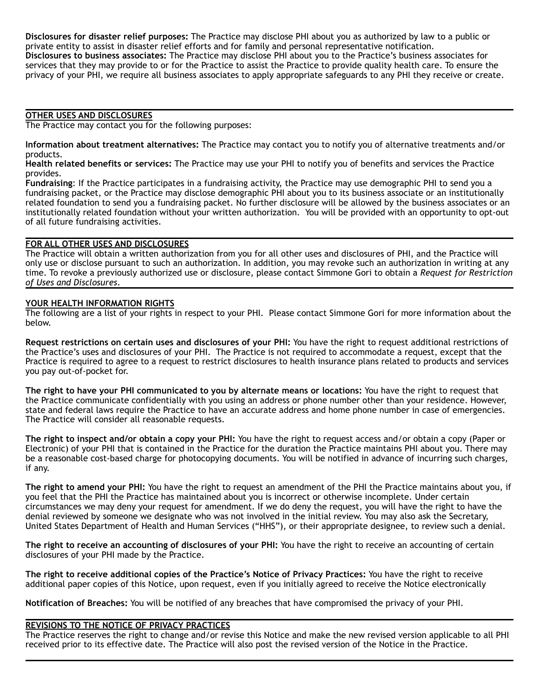**Disclosures for disaster relief purposes:** The Practice may disclose PHI about you as authorized by law to a public or private entity to assist in disaster relief efforts and for family and personal representative notification. **Disclosures to business associates:** The Practice may disclose PHI about you to the Practice's business associates for services that they may provide to or for the Practice to assist the Practice to provide quality health care. To ensure the privacy of your PHI, we require all business associates to apply appropriate safeguards to any PHI they receive or create.

# **OTHER USES AND DISCLOSURES**

The Practice may contact you for the following purposes:

**Information about treatment alternatives:** The Practice may contact you to notify you of alternative treatments and/or products.

**Health related benefits or services:** The Practice may use your PHI to notify you of benefits and services the Practice provides.

**Fundraising**: If the Practice participates in a fundraising activity, the Practice may use demographic PHI to send you a fundraising packet, or the Practice may disclose demographic PHI about you to its business associate or an institutionally related foundation to send you a fundraising packet. No further disclosure will be allowed by the business associates or an institutionally related foundation without your written authorization. You will be provided with an opportunity to opt-out of all future fundraising activities.

## **FOR ALL OTHER USES AND DISCLOSURES**

The Practice will obtain a written authorization from you for all other uses and disclosures of PHI, and the Practice will only use or disclose pursuant to such an authorization. In addition, you may revoke such an authorization in writing at any time. To revoke a previously authorized use or disclosure, please contact Simmone Gori to obtain a *Request for Restriction of Uses and Disclosures*.

#### **YOUR HEALTH INFORMATION RIGHTS**

The following are a list of your rights in respect to your PHI. Please contact Simmone Gori for more information about the below.

**Request restrictions on certain uses and disclosures of your PHI:** You have the right to request additional restrictions of the Practice's uses and disclosures of your PHI. The Practice is not required to accommodate a request, except that the Practice is required to agree to a request to restrict disclosures to health insurance plans related to products and services you pay out-of-pocket for.

**The right to have your PHI communicated to you by alternate means or locations:** You have the right to request that the Practice communicate confidentially with you using an address or phone number other than your residence. However, state and federal laws require the Practice to have an accurate address and home phone number in case of emergencies. The Practice will consider all reasonable requests.

**The right to inspect and/or obtain a copy your PHI:** You have the right to request access and/or obtain a copy (Paper or Electronic) of your PHI that is contained in the Practice for the duration the Practice maintains PHI about you. There may be a reasonable cost-based charge for photocopying documents. You will be notified in advance of incurring such charges, if any.

**The right to amend your PHI:** You have the right to request an amendment of the PHI the Practice maintains about you, if you feel that the PHI the Practice has maintained about you is incorrect or otherwise incomplete. Under certain circumstances we may deny your request for amendment. If we do deny the request, you will have the right to have the denial reviewed by someone we designate who was not involved in the initial review. You may also ask the Secretary, United States Department of Health and Human Services ("HHS"), or their appropriate designee, to review such a denial.

**The right to receive an accounting of disclosures of your PHI:** You have the right to receive an accounting of certain disclosures of your PHI made by the Practice.

**The right to receive additional copies of the Practice's Notice of Privacy Practices:** You have the right to receive additional paper copies of this Notice, upon request, even if you initially agreed to receive the Notice electronically

**Notification of Breaches:** You will be notified of any breaches that have compromised the privacy of your PHI.

### **REVISIONS TO THE NOTICE OF PRIVACY PRACTICES**

The Practice reserves the right to change and/or revise this Notice and make the new revised version applicable to all PHI received prior to its effective date. The Practice will also post the revised version of the Notice in the Practice.